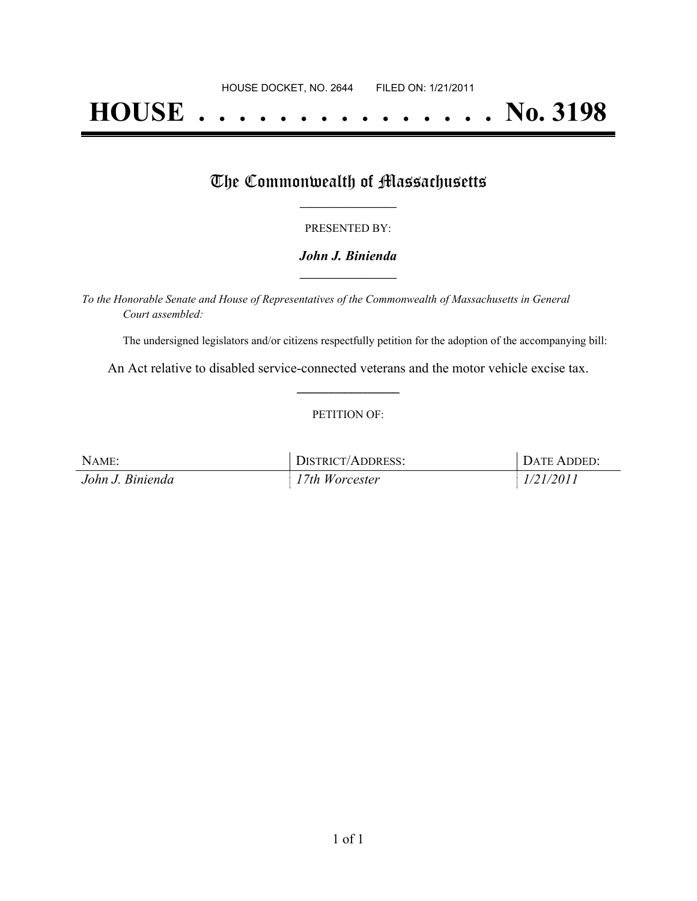# **HOUSE . . . . . . . . . . . . . . . No. 3198**

## The Commonwealth of Massachusetts

#### PRESENTED BY:

#### *John J. Binienda* **\_\_\_\_\_\_\_\_\_\_\_\_\_\_\_\_\_**

*To the Honorable Senate and House of Representatives of the Commonwealth of Massachusetts in General Court assembled:*

The undersigned legislators and/or citizens respectfully petition for the adoption of the accompanying bill:

An Act relative to disabled service-connected veterans and the motor vehicle excise tax. **\_\_\_\_\_\_\_\_\_\_\_\_\_\_\_**

#### PETITION OF:

| NAME:            | DISTRICT/ADDRESS: | DATE ADDED: |
|------------------|-------------------|-------------|
| John J. Binienda | 17th Worcester    | 1/21/2011   |